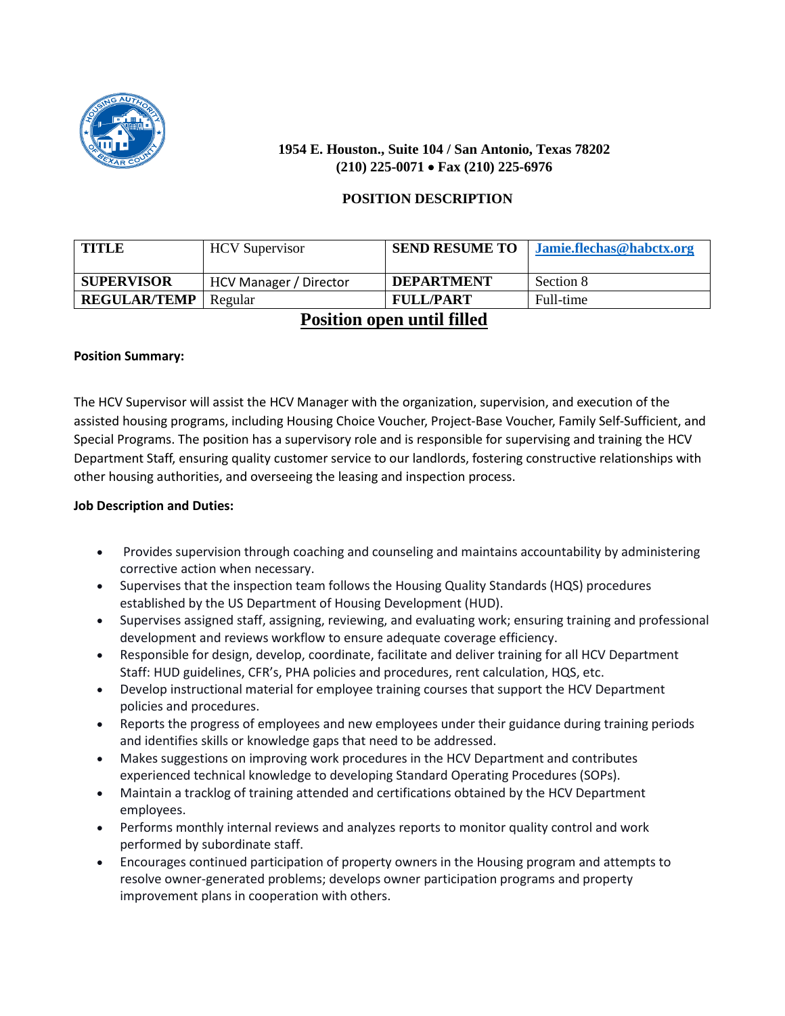

# **1954 E. Houston., Suite 104 / San Antonio, Texas 78202 (210) 225-0071** • **Fax (210) 225-6976**

# **POSITION DESCRIPTION**

| <b>TITLE</b>        | <b>HCV</b> Supervisor  | <b>SEND RESUME TO</b>                                                                                                                                                                                                                                                                                                                                                                | Jamie.flechas@habctx.org |
|---------------------|------------------------|--------------------------------------------------------------------------------------------------------------------------------------------------------------------------------------------------------------------------------------------------------------------------------------------------------------------------------------------------------------------------------------|--------------------------|
| <b>SUPERVISOR</b>   | HCV Manager / Director | <b>DEPARTMENT</b>                                                                                                                                                                                                                                                                                                                                                                    | Section 8                |
| <b>REGULAR/TEMP</b> | Regular                | <b>FULL/PART</b>                                                                                                                                                                                                                                                                                                                                                                     | Full-time                |
|                     | $\mathbf{r}$ .         | $\overline{1}$ $\overline{1}$ $\overline{1}$ $\overline{1}$ $\overline{1}$ $\overline{1}$ $\overline{1}$ $\overline{1}$ $\overline{1}$ $\overline{1}$ $\overline{1}$ $\overline{1}$ $\overline{1}$ $\overline{1}$ $\overline{1}$ $\overline{1}$ $\overline{1}$ $\overline{1}$ $\overline{1}$ $\overline{1}$ $\overline{1}$ $\overline{1}$ $\overline{1}$ $\overline{1}$ $\overline{$ |                          |

# **Position open until filled**

#### **Position Summary:**

The HCV Supervisor will assist the HCV Manager with the organization, supervision, and execution of the assisted housing programs, including Housing Choice Voucher, Project-Base Voucher, Family Self-Sufficient, and Special Programs. The position has a supervisory role and is responsible for supervising and training the HCV Department Staff, ensuring quality customer service to our landlords, fostering constructive relationships with other housing authorities, and overseeing the leasing and inspection process.

## **Job Description and Duties:**

- Provides supervision through coaching and counseling and maintains accountability by administering corrective action when necessary.
- Supervises that the inspection team follows the Housing Quality Standards (HQS) procedures established by the US Department of Housing Development (HUD).
- Supervises assigned staff, assigning, reviewing, and evaluating work; ensuring training and professional development and reviews workflow to ensure adequate coverage efficiency.
- Responsible for design, develop, coordinate, facilitate and deliver training for all HCV Department Staff: HUD guidelines, CFR's, PHA policies and procedures, rent calculation, HQS, etc.
- Develop instructional material for employee training courses that support the HCV Department policies and procedures.
- Reports the progress of employees and new employees under their guidance during training periods and identifies skills or knowledge gaps that need to be addressed.
- Makes suggestions on improving work procedures in the HCV Department and contributes experienced technical knowledge to developing Standard Operating Procedures (SOPs).
- Maintain a tracklog of training attended and certifications obtained by the HCV Department employees.
- Performs monthly internal reviews and analyzes reports to monitor quality control and work performed by subordinate staff.
- Encourages continued participation of property owners in the Housing program and attempts to resolve owner-generated problems; develops owner participation programs and property improvement plans in cooperation with others.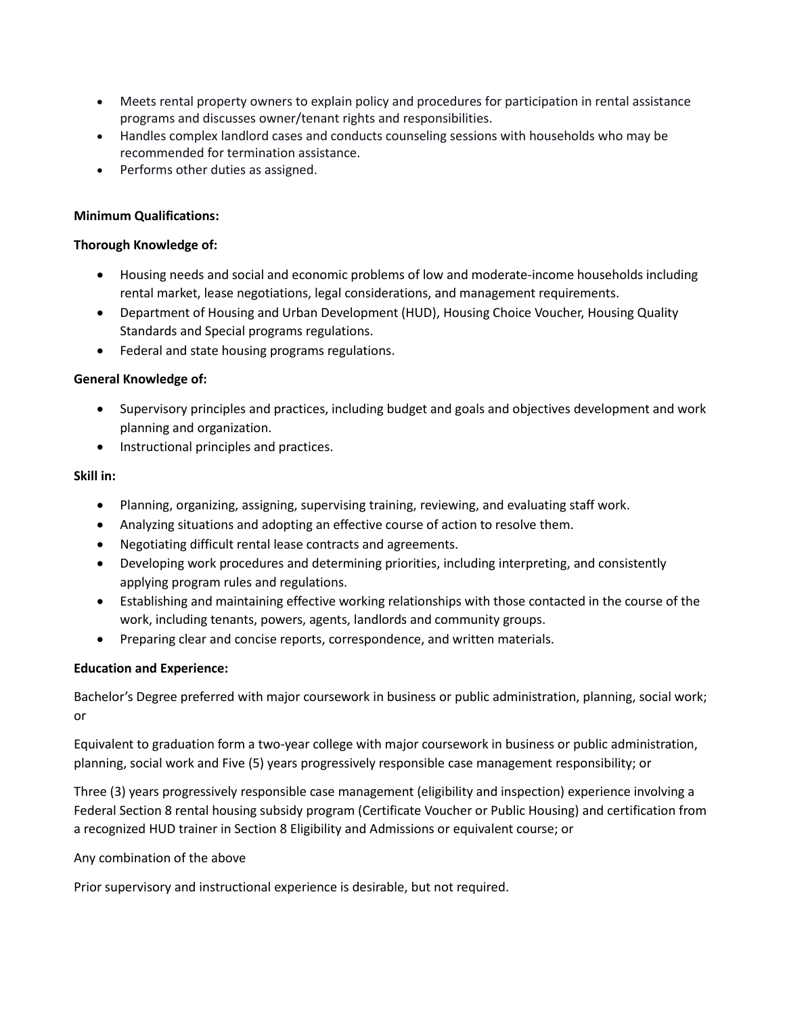- Meets rental property owners to explain policy and procedures for participation in rental assistance programs and discusses owner/tenant rights and responsibilities.
- Handles complex landlord cases and conducts counseling sessions with households who may be recommended for termination assistance.
- Performs other duties as assigned.

#### **Minimum Qualifications:**

#### **Thorough Knowledge of:**

- Housing needs and social and economic problems of low and moderate-income households including rental market, lease negotiations, legal considerations, and management requirements.
- Department of Housing and Urban Development (HUD), Housing Choice Voucher, Housing Quality Standards and Special programs regulations.
- Federal and state housing programs regulations.

#### **General Knowledge of:**

- Supervisory principles and practices, including budget and goals and objectives development and work planning and organization.
- Instructional principles and practices.

#### **Skill in:**

- Planning, organizing, assigning, supervising training, reviewing, and evaluating staff work.
- Analyzing situations and adopting an effective course of action to resolve them.
- Negotiating difficult rental lease contracts and agreements.
- Developing work procedures and determining priorities, including interpreting, and consistently applying program rules and regulations.
- Establishing and maintaining effective working relationships with those contacted in the course of the work, including tenants, powers, agents, landlords and community groups.
- Preparing clear and concise reports, correspondence, and written materials.

#### **Education and Experience:**

Bachelor's Degree preferred with major coursework in business or public administration, planning, social work; or

Equivalent to graduation form a two-year college with major coursework in business or public administration, planning, social work and Five (5) years progressively responsible case management responsibility; or

Three (3) years progressively responsible case management (eligibility and inspection) experience involving a Federal Section 8 rental housing subsidy program (Certificate Voucher or Public Housing) and certification from a recognized HUD trainer in Section 8 Eligibility and Admissions or equivalent course; or

Any combination of the above

Prior supervisory and instructional experience is desirable, but not required.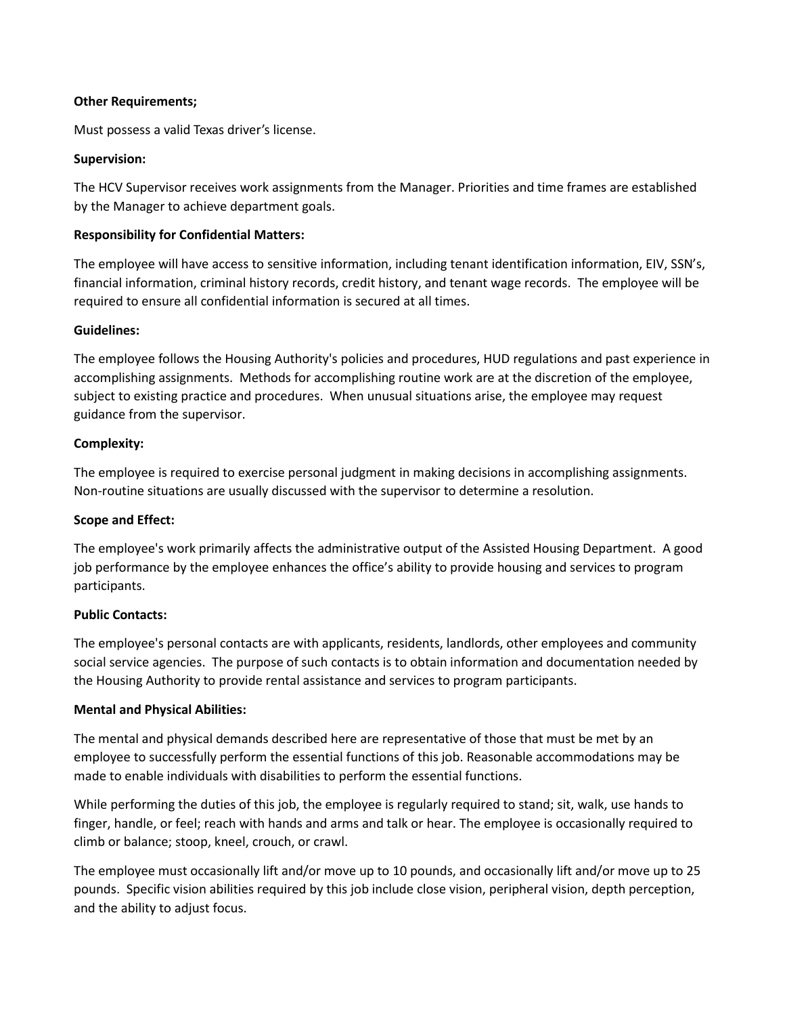#### **Other Requirements;**

Must possess a valid Texas driver's license.

#### **Supervision:**

The HCV Supervisor receives work assignments from the Manager. Priorities and time frames are established by the Manager to achieve department goals.

#### **Responsibility for Confidential Matters:**

The employee will have access to sensitive information, including tenant identification information, EIV, SSN's, financial information, criminal history records, credit history, and tenant wage records. The employee will be required to ensure all confidential information is secured at all times.

#### **Guidelines:**

The employee follows the Housing Authority's policies and procedures, HUD regulations and past experience in accomplishing assignments. Methods for accomplishing routine work are at the discretion of the employee, subject to existing practice and procedures. When unusual situations arise, the employee may request guidance from the supervisor.

#### **Complexity:**

The employee is required to exercise personal judgment in making decisions in accomplishing assignments. Non-routine situations are usually discussed with the supervisor to determine a resolution.

#### **Scope and Effect:**

The employee's work primarily affects the administrative output of the Assisted Housing Department. A good job performance by the employee enhances the office's ability to provide housing and services to program participants.

#### **Public Contacts:**

The employee's personal contacts are with applicants, residents, landlords, other employees and community social service agencies. The purpose of such contacts is to obtain information and documentation needed by the Housing Authority to provide rental assistance and services to program participants.

# **Mental and Physical Abilities:**

The mental and physical demands described here are representative of those that must be met by an employee to successfully perform the essential functions of this job. Reasonable accommodations may be made to enable individuals with disabilities to perform the essential functions.

While performing the duties of this job, the employee is regularly required to stand; sit, walk, use hands to finger, handle, or feel; reach with hands and arms and talk or hear. The employee is occasionally required to climb or balance; stoop, kneel, crouch, or crawl.

The employee must occasionally lift and/or move up to 10 pounds, and occasionally lift and/or move up to 25 pounds. Specific vision abilities required by this job include close vision, peripheral vision, depth perception, and the ability to adjust focus.